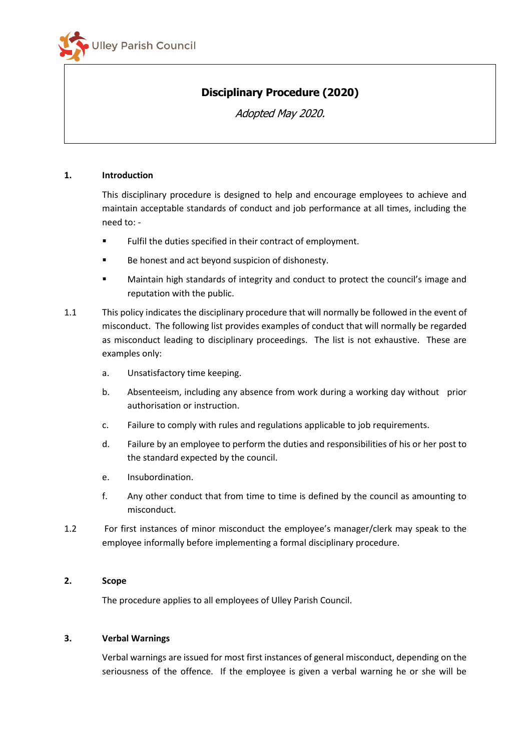

# **Disciplinary Procedure (2020)**

Adopted May 2020.

## **1. Introduction**

This disciplinary procedure is designed to help and encourage employees to achieve and maintain acceptable standards of conduct and job performance at all times, including the need to: -

- Fulfil the duties specified in their contract of employment.
- Be honest and act beyond suspicion of dishonesty.
- Maintain high standards of integrity and conduct to protect the council's image and reputation with the public.
- 1.1 This policy indicates the disciplinary procedure that will normally be followed in the event of misconduct. The following list provides examples of conduct that will normally be regarded as misconduct leading to disciplinary proceedings. The list is not exhaustive. These are examples only:
	- a. Unsatisfactory time keeping.
	- b. Absenteeism, including any absence from work during a working day without prior authorisation or instruction.
	- c. Failure to comply with rules and regulations applicable to job requirements.
	- d. Failure by an employee to perform the duties and responsibilities of his or her post to the standard expected by the council.
	- e. Insubordination.
	- f. Any other conduct that from time to time is defined by the council as amounting to misconduct.
- 1.2 For first instances of minor misconduct the employee's manager/clerk may speak to the employee informally before implementing a formal disciplinary procedure.

## **2. Scope**

The procedure applies to all employees of Ulley Parish Council.

## **3. Verbal Warnings**

Verbal warnings are issued for most first instances of general misconduct, depending on the seriousness of the offence. If the employee is given a verbal warning he or she will be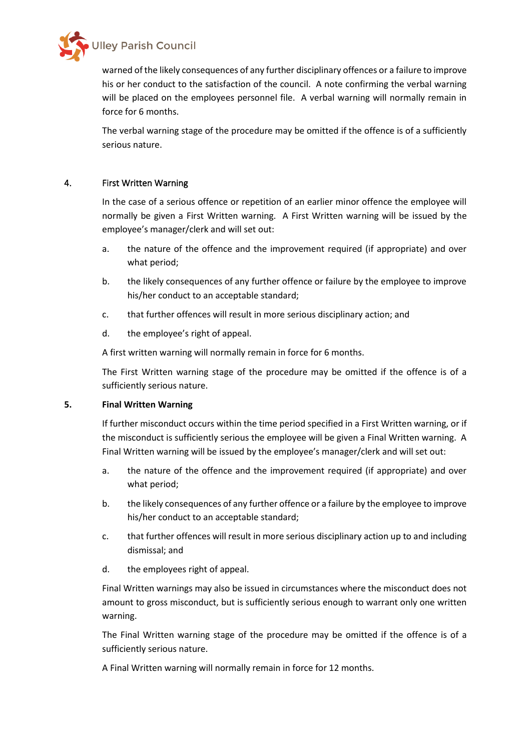

warned of the likely consequences of any further disciplinary offences or a failure to improve his or her conduct to the satisfaction of the council. A note confirming the verbal warning will be placed on the employees personnel file. A verbal warning will normally remain in force for 6 months.

The verbal warning stage of the procedure may be omitted if the offence is of a sufficiently serious nature.

# 4. First Written Warning

In the case of a serious offence or repetition of an earlier minor offence the employee will normally be given a First Written warning. A First Written warning will be issued by the employee's manager/clerk and will set out:

- a. the nature of the offence and the improvement required (if appropriate) and over what period;
- b. the likely consequences of any further offence or failure by the employee to improve his/her conduct to an acceptable standard;
- c. that further offences will result in more serious disciplinary action; and
- d. the employee's right of appeal.

A first written warning will normally remain in force for 6 months.

The First Written warning stage of the procedure may be omitted if the offence is of a sufficiently serious nature.

## **5. Final Written Warning**

If further misconduct occurs within the time period specified in a First Written warning, or if the misconduct is sufficiently serious the employee will be given a Final Written warning. A Final Written warning will be issued by the employee's manager/clerk and will set out:

- a. the nature of the offence and the improvement required (if appropriate) and over what period;
- b. the likely consequences of any further offence or a failure by the employee to improve his/her conduct to an acceptable standard;
- c. that further offences will result in more serious disciplinary action up to and including dismissal; and
- d. the employees right of appeal.

Final Written warnings may also be issued in circumstances where the misconduct does not amount to gross misconduct, but is sufficiently serious enough to warrant only one written warning.

The Final Written warning stage of the procedure may be omitted if the offence is of a sufficiently serious nature.

A Final Written warning will normally remain in force for 12 months.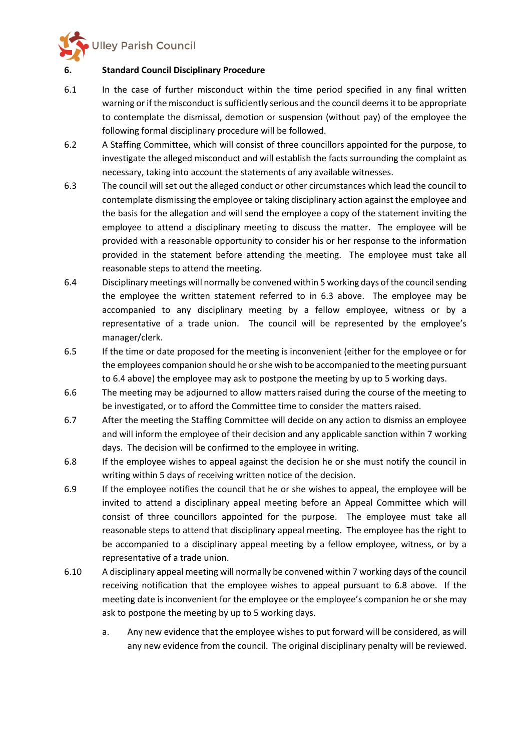**Illey Parish Council** 

## **6. Standard Council Disciplinary Procedure**

- 6.1 In the case of further misconduct within the time period specified in any final written warning or if the misconduct is sufficiently serious and the council deems it to be appropriate to contemplate the dismissal, demotion or suspension (without pay) of the employee the following formal disciplinary procedure will be followed.
- 6.2 A Staffing Committee, which will consist of three councillors appointed for the purpose, to investigate the alleged misconduct and will establish the facts surrounding the complaint as necessary, taking into account the statements of any available witnesses.
- 6.3 The council will set out the alleged conduct or other circumstances which lead the council to contemplate dismissing the employee or taking disciplinary action against the employee and the basis for the allegation and will send the employee a copy of the statement inviting the employee to attend a disciplinary meeting to discuss the matter. The employee will be provided with a reasonable opportunity to consider his or her response to the information provided in the statement before attending the meeting. The employee must take all reasonable steps to attend the meeting.
- 6.4 Disciplinary meetings will normally be convened within 5 working days of the council sending the employee the written statement referred to in 6.3 above. The employee may be accompanied to any disciplinary meeting by a fellow employee, witness or by a representative of a trade union. The council will be represented by the employee's manager/clerk.
- 6.5 If the time or date proposed for the meeting is inconvenient (either for the employee or for the employees companion should he or she wish to be accompanied to the meeting pursuant to 6.4 above) the employee may ask to postpone the meeting by up to 5 working days.
- 6.6 The meeting may be adjourned to allow matters raised during the course of the meeting to be investigated, or to afford the Committee time to consider the matters raised.
- 6.7 After the meeting the Staffing Committee will decide on any action to dismiss an employee and will inform the employee of their decision and any applicable sanction within 7 working days. The decision will be confirmed to the employee in writing.
- 6.8 If the employee wishes to appeal against the decision he or she must notify the council in writing within 5 days of receiving written notice of the decision.
- 6.9 If the employee notifies the council that he or she wishes to appeal, the employee will be invited to attend a disciplinary appeal meeting before an Appeal Committee which will consist of three councillors appointed for the purpose. The employee must take all reasonable steps to attend that disciplinary appeal meeting. The employee has the right to be accompanied to a disciplinary appeal meeting by a fellow employee, witness, or by a representative of a trade union.
- 6.10 A disciplinary appeal meeting will normally be convened within 7 working days of the council receiving notification that the employee wishes to appeal pursuant to 6.8 above. If the meeting date is inconvenient for the employee or the employee's companion he or she may ask to postpone the meeting by up to 5 working days.
	- a. Any new evidence that the employee wishes to put forward will be considered, as will any new evidence from the council. The original disciplinary penalty will be reviewed.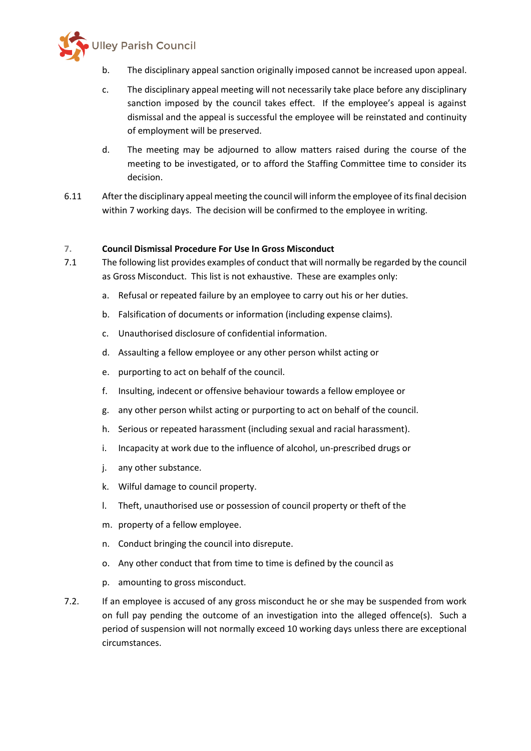

- b. The disciplinary appeal sanction originally imposed cannot be increased upon appeal.
- c. The disciplinary appeal meeting will not necessarily take place before any disciplinary sanction imposed by the council takes effect. If the employee's appeal is against dismissal and the appeal is successful the employee will be reinstated and continuity of employment will be preserved.
- d. The meeting may be adjourned to allow matters raised during the course of the meeting to be investigated, or to afford the Staffing Committee time to consider its decision.
- 6.11 After the disciplinary appeal meeting the council will inform the employee of its final decision within 7 working days. The decision will be confirmed to the employee in writing.

## **7. Council Dismissal Procedure For Use In Gross Misconduct**

- 7.1 The following list provides examples of conduct that will normally be regarded by the council as Gross Misconduct. This list is not exhaustive. These are examples only:
	- a. Refusal or repeated failure by an employee to carry out his or her duties.
	- b. Falsification of documents or information (including expense claims).
	- c. Unauthorised disclosure of confidential information.
	- d. Assaulting a fellow employee or any other person whilst acting or
	- e. purporting to act on behalf of the council.
	- f. Insulting, indecent or offensive behaviour towards a fellow employee or
	- g. any other person whilst acting or purporting to act on behalf of the council.
	- h. Serious or repeated harassment (including sexual and racial harassment).
	- i. Incapacity at work due to the influence of alcohol, un-prescribed drugs or
	- j. any other substance.
	- k. Wilful damage to council property.
	- l. Theft, unauthorised use or possession of council property or theft of the
	- m. property of a fellow employee.
	- n. Conduct bringing the council into disrepute.
	- o. Any other conduct that from time to time is defined by the council as
	- p. amounting to gross misconduct.
- 7.2. If an employee is accused of any gross misconduct he or she may be suspended from work on full pay pending the outcome of an investigation into the alleged offence(s). Such a period of suspension will not normally exceed 10 working days unless there are exceptional circumstances.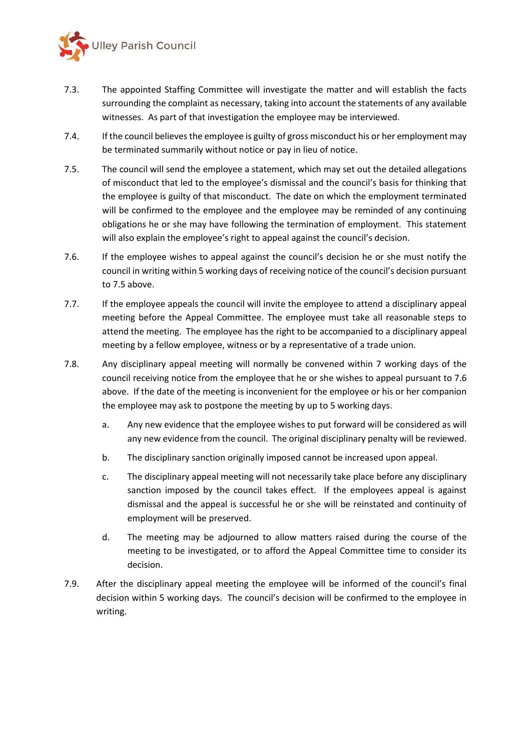

- 7.3. The appointed Staffing Committee will investigate the matter and will establish the facts surrounding the complaint as necessary, taking into account the statements of any available witnesses. As part of that investigation the employee may be interviewed.
- 7.4. If the council believes the employee is guilty of gross misconduct his or her employment may be terminated summarily without notice or pay in lieu of notice.
- 7.5. The council will send the employee a statement, which may set out the detailed allegations of misconduct that led to the employee's dismissal and the council's basis for thinking that the employee is guilty of that misconduct. The date on which the employment terminated will be confirmed to the employee and the employee may be reminded of any continuing obligations he or she may have following the termination of employment. This statement will also explain the employee's right to appeal against the council's decision.
- 7.6. If the employee wishes to appeal against the council's decision he or she must notify the council in writing within 5 working days of receiving notice of the council's decision pursuant to 7.5 above.
- 7.7. If the employee appeals the council will invite the employee to attend a disciplinary appeal meeting before the Appeal Committee. The employee must take all reasonable steps to attend the meeting. The employee has the right to be accompanied to a disciplinary appeal meeting by a fellow employee, witness or by a representative of a trade union.
- 7.8. Any disciplinary appeal meeting will normally be convened within 7 working days of the council receiving notice from the employee that he or she wishes to appeal pursuant to 7.6 above. If the date of the meeting is inconvenient for the employee or his or her companion the employee may ask to postpone the meeting by up to 5 working days.
	- a. Any new evidence that the employee wishes to put forward will be considered as will any new evidence from the council. The original disciplinary penalty will be reviewed.
	- b. The disciplinary sanction originally imposed cannot be increased upon appeal.
	- c. The disciplinary appeal meeting will not necessarily take place before any disciplinary sanction imposed by the council takes effect. If the employees appeal is against dismissal and the appeal is successful he or she will be reinstated and continuity of employment will be preserved.
	- d. The meeting may be adjourned to allow matters raised during the course of the meeting to be investigated, or to afford the Appeal Committee time to consider its decision.
- 7.9. After the disciplinary appeal meeting the employee will be informed of the council's final decision within 5 working days. The council's decision will be confirmed to the employee in writing.